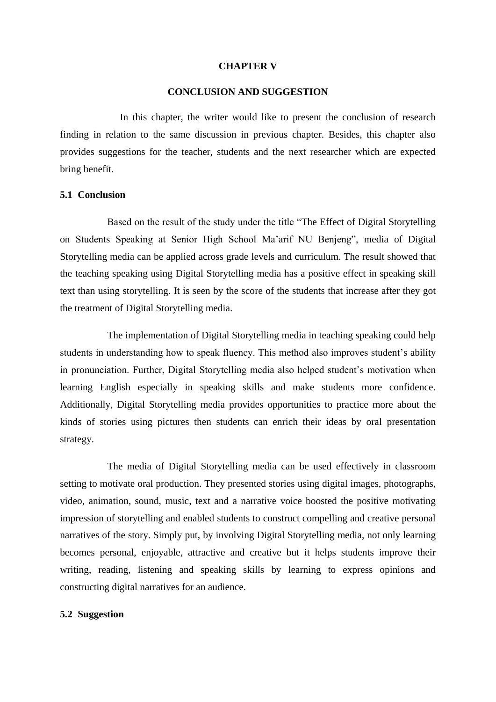#### **CHAPTER V**

#### **CONCLUSION AND SUGGESTION**

In this chapter, the writer would like to present the conclusion of research finding in relation to the same discussion in previous chapter. Besides, this chapter also provides suggestions for the teacher, students and the next researcher which are expected bring benefit.

# **5.1 Conclusion**

Based on the result of the study under the title "The Effect of Digital Storytelling on Students Speaking at Senior High School Ma'arif NU Benjeng", media of Digital Storytelling media can be applied across grade levels and curriculum. The result showed that the teaching speaking using Digital Storytelling media has a positive effect in speaking skill text than using storytelling. It is seen by the score of the students that increase after they got the treatment of Digital Storytelling media.

The implementation of Digital Storytelling media in teaching speaking could help students in understanding how to speak fluency. This method also improves student's ability in pronunciation. Further, Digital Storytelling media also helped student's motivation when learning English especially in speaking skills and make students more confidence. Additionally, Digital Storytelling media provides opportunities to practice more about the kinds of stories using pictures then students can enrich their ideas by oral presentation strategy.

The media of Digital Storytelling media can be used effectively in classroom setting to motivate oral production. They presented stories using digital images, photographs, video, animation, sound, music, text and a narrative voice boosted the positive motivating impression of storytelling and enabled students to construct compelling and creative personal narratives of the story. Simply put, by involving Digital Storytelling media, not only learning becomes personal, enjoyable, attractive and creative but it helps students improve their writing, reading, listening and speaking skills by learning to express opinions and constructing digital narratives for an audience.

# **5.2 Suggestion**